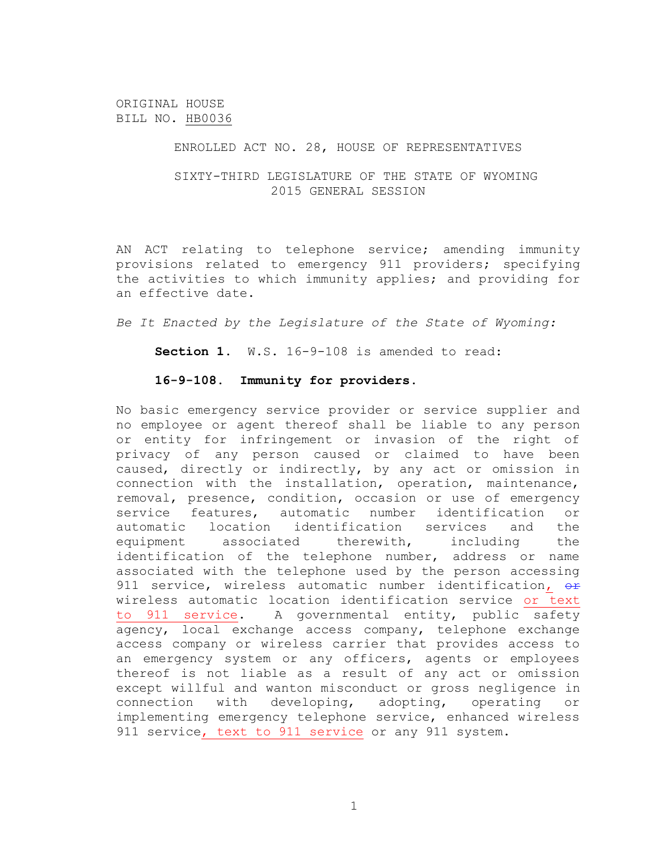ORIGINAL HOUSE BILL NO. HB0036

## ENROLLED ACT NO. 28, HOUSE OF REPRESENTATIVES

## SIXTY-THIRD LEGISLATURE OF THE STATE OF WYOMING 2015 GENERAL SESSION

AN ACT relating to telephone service; amending immunity provisions related to emergency 911 providers; specifying the activities to which immunity applies; and providing for an effective date.

*Be It Enacted by the Legislature of the State of Wyoming:*

**Section 1.** W.S. 16-9-108 is amended to read:

## **16-9-108. Immunity for providers**.

No basic emergency service provider or service supplier and no employee or agent thereof shall be liable to any person or entity for infringement or invasion of the right of privacy of any person caused or claimed to have been caused, directly or indirectly, by any act or omission in connection with the installation, operation, maintenance, removal, presence, condition, occasion or use of emergency service features, automatic number identification or automatic location identification services and the equipment associated therewith, including the identification of the telephone number, address or name associated with the telephone used by the person accessing 911 service, wireless automatic number identification, or wireless automatic location identification service or text to 911 service. A governmental entity, public safety agency, local exchange access company, telephone exchange access company or wireless carrier that provides access to an emergency system or any officers, agents or employees thereof is not liable as a result of any act or omission except willful and wanton misconduct or gross negligence in connection with developing, adopting, operating or implementing emergency telephone service, enhanced wireless 911 service, text to 911 service or any 911 system.